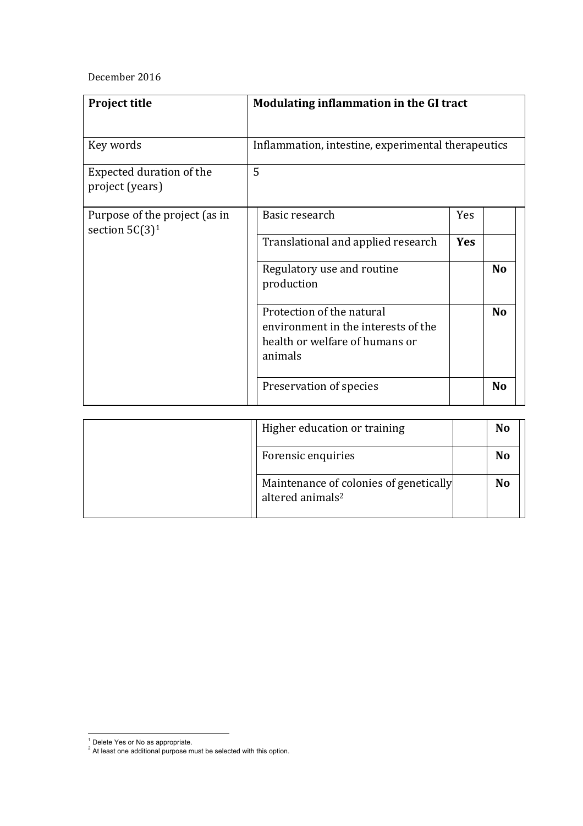## December 2016

| Project title                                      | Modulating inflammation in the GI tract                                                                       |            |                |
|----------------------------------------------------|---------------------------------------------------------------------------------------------------------------|------------|----------------|
| Key words                                          | Inflammation, intestine, experimental therapeutics                                                            |            |                |
| Expected duration of the<br>project (years)        | 5                                                                                                             |            |                |
| Purpose of the project (as in<br>section $5C(3)^1$ | Basic research                                                                                                | Yes        |                |
|                                                    | Translational and applied research                                                                            | <b>Yes</b> |                |
|                                                    | Regulatory use and routine<br>production                                                                      |            | <b>No</b>      |
|                                                    | Protection of the natural<br>environment in the interests of the<br>health or welfare of humans or<br>animals |            | <b>No</b>      |
|                                                    | Preservation of species                                                                                       |            | N <sub>o</sub> |

| Higher education or training                                           | <b>No</b> |
|------------------------------------------------------------------------|-----------|
| Forensic enquiries                                                     | <b>No</b> |
| Maintenance of colonies of genetically<br>altered animals <sup>2</sup> | <b>No</b> |

 $^1$  Delete Yes or No as appropriate.

 $2^2$  At least one additional purpose must be selected with this option.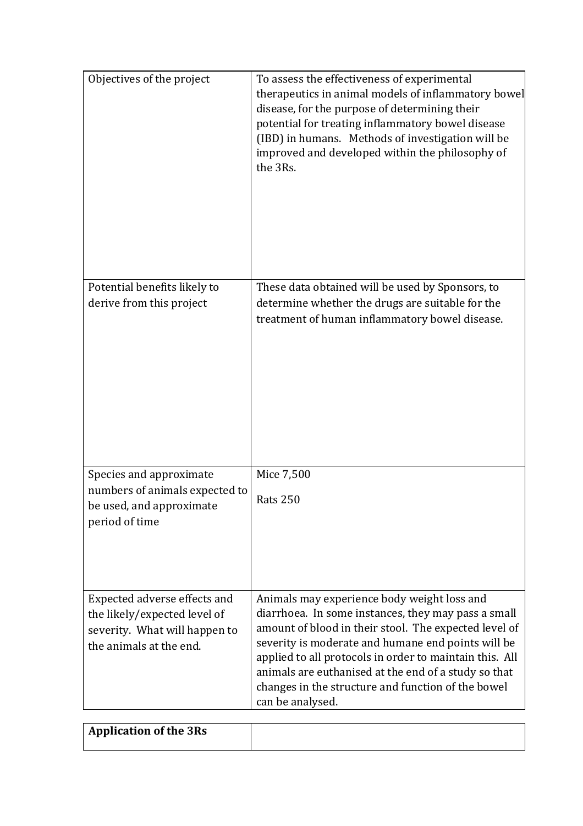| Objectives of the project                                                                                                | To assess the effectiveness of experimental<br>therapeutics in animal models of inflammatory bowel<br>disease, for the purpose of determining their<br>potential for treating inflammatory bowel disease<br>(IBD) in humans. Methods of investigation will be<br>improved and developed within the philosophy of<br>the 3Rs.                                                                                   |
|--------------------------------------------------------------------------------------------------------------------------|----------------------------------------------------------------------------------------------------------------------------------------------------------------------------------------------------------------------------------------------------------------------------------------------------------------------------------------------------------------------------------------------------------------|
| Potential benefits likely to<br>derive from this project                                                                 | These data obtained will be used by Sponsors, to<br>determine whether the drugs are suitable for the<br>treatment of human inflammatory bowel disease.                                                                                                                                                                                                                                                         |
| Species and approximate<br>numbers of animals expected to<br>be used, and approximate<br>period of time                  | Mice 7,500<br><b>Rats 250</b>                                                                                                                                                                                                                                                                                                                                                                                  |
| Expected adverse effects and<br>the likely/expected level of<br>severity. What will happen to<br>the animals at the end. | Animals may experience body weight loss and<br>diarrhoea. In some instances, they may pass a small<br>amount of blood in their stool. The expected level of<br>severity is moderate and humane end points will be<br>applied to all protocols in order to maintain this. All<br>animals are euthanised at the end of a study so that<br>changes in the structure and function of the bowel<br>can be analysed. |

| Application of the 3Rs |  |
|------------------------|--|
|                        |  |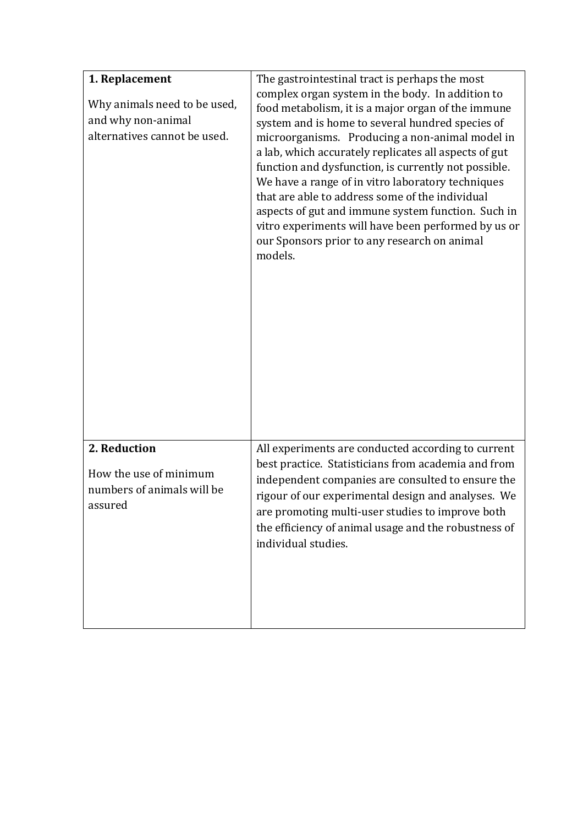| 1. Replacement<br>Why animals need to be used,<br>and why non-animal<br>alternatives cannot be used. | The gastrointestinal tract is perhaps the most<br>complex organ system in the body. In addition to<br>food metabolism, it is a major organ of the immune<br>system and is home to several hundred species of<br>microorganisms. Producing a non-animal model in<br>a lab, which accurately replicates all aspects of gut<br>function and dysfunction, is currently not possible.<br>We have a range of in vitro laboratory techniques<br>that are able to address some of the individual<br>aspects of gut and immune system function. Such in<br>vitro experiments will have been performed by us or<br>our Sponsors prior to any research on animal<br>models. |
|------------------------------------------------------------------------------------------------------|------------------------------------------------------------------------------------------------------------------------------------------------------------------------------------------------------------------------------------------------------------------------------------------------------------------------------------------------------------------------------------------------------------------------------------------------------------------------------------------------------------------------------------------------------------------------------------------------------------------------------------------------------------------|
| 2. Reduction<br>How the use of minimum<br>numbers of animals will be<br>assured                      | All experiments are conducted according to current<br>best practice. Statisticians from academia and from<br>independent companies are consulted to ensure the<br>rigour of our experimental design and analyses. We<br>are promoting multi-user studies to improve both<br>the efficiency of animal usage and the robustness of<br>individual studies.                                                                                                                                                                                                                                                                                                          |